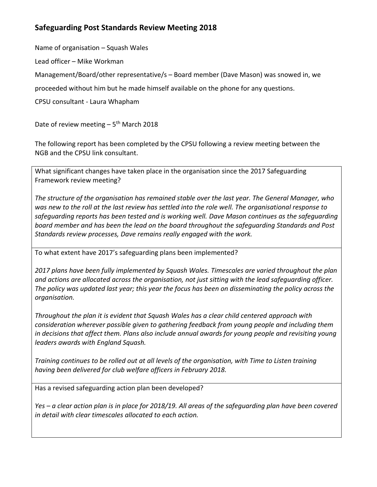## **Safeguarding Post Standards Review Meeting 2018**

Name of organisation – Squash Wales

Lead officer – Mike Workman

Management/Board/other representative/s – Board member (Dave Mason) was snowed in, we

proceeded without him but he made himself available on the phone for any questions.

CPSU consultant - Laura Whapham

Date of review meeting - 5<sup>th</sup> March 2018

The following report has been completed by the CPSU following a review meeting between the NGB and the CPSU link consultant.

What significant changes have taken place in the organisation since the 2017 Safeguarding Framework review meeting?

*The structure of the organisation has remained stable over the last year. The General Manager, who was new to the roll at the last review has settled into the role well. The organisational response to safeguarding reports has been tested and is working well. Dave Mason continues as the safeguarding board member and has been the lead on the board throughout the safeguarding Standards and Post Standards review processes, Dave remains really engaged with the work.* 

To what extent have 2017's safeguarding plans been implemented?

*2017 plans have been fully implemented by Squash Wales. Timescales are varied throughout the plan and actions are allocated across the organisation, not just sitting with the lead safeguarding officer. The policy was updated last year; this year the focus has been on disseminating the policy across the organisation.* 

*Throughout the plan it is evident that Squash Wales has a clear child centered approach with consideration wherever possible given to gathering feedback from young people and including them in decisions that affect them. Plans also include annual awards for young people and revisiting young leaders awards with England Squash.*

*Training continues to be rolled out at all levels of the organisation, with Time to Listen training having been delivered for club welfare officers in February 2018.* 

Has a revised safeguarding action plan been developed?

*Yes – a clear action plan is in place for 2018/19. All areas of the safeguarding plan have been covered in detail with clear timescales allocated to each action.*